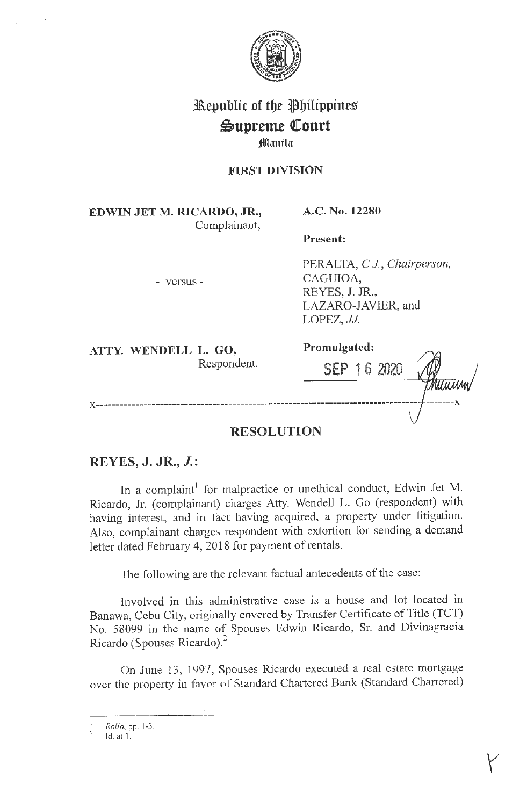

# **31\epublic of tbe Jlbilippines**   $\mathfrak{S}$ upreme Court

# *Manila*

#### **FIRST DIVISION**

**EDWIN JET M. RICARDO, JR.,**  Complainant, **A.C. No. 12280** 

**Present:** 

- versus -

PERALTA, *CJ, Chairperson,*  CAGUIOA, REYES, **J.** JR., LAZARO-JAVIER, and LOPEZ, *JJ*.

**ATTY. WENDELL L. GO,**  Respondent. **Promulgated:** 

**SEP 1 6 2020 x ---------------------------------------------------------------------------------** -------x

## **RESOLUTION**

### **REYES, J. JR., J.:**

In a complaint<sup>1</sup> for malpractice or unethical conduct, Edwin Jet M. Ricardo, Jr. (complainant) charges Atty. Wendell L. Go (respondent) with having interest, and in fact having acquired, a property under litigation. Also, complainant charges respondent with extortion for sending a demand letter dated February 4, 2018 for payment of rentals.

The following are the relevant factual antecedents of the case:

Involved in this administrative case is a house and lot located in Banawa, Cebu City, originally covered by Transfer Certificate of Title (TCT) No. 58099 in the name of Spouses Edwin Ricardo, Sr. and Divinagracia Ricardo (Spouses Ricardo).2

On June 13, 1997, Spouses Ricardo executed a real estate mortgage over the property in favor of Standard Chartered Bank (Standard Chartered)

-----~--- <sup>1</sup>*Rollo,pp.* l-3.

Id. at l .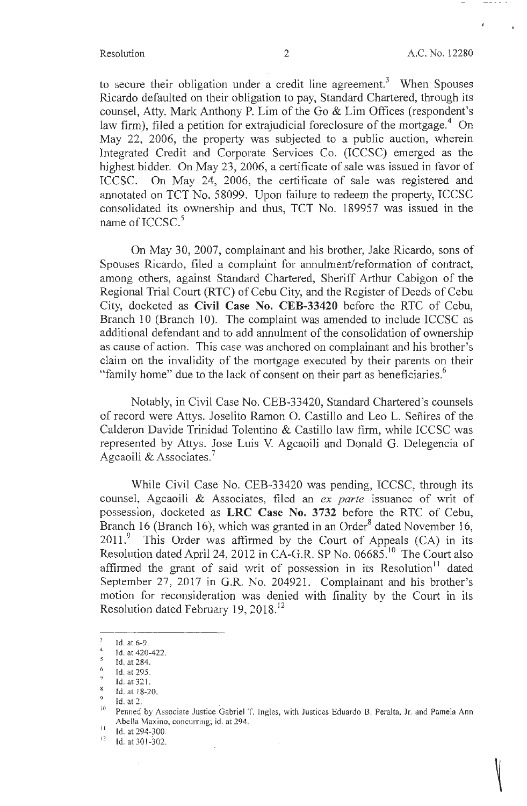to secure their obligation under a credit line agreement.<sup>3</sup> When Spouses Ricardo defaulted on their obligation to pay, Standard Chartered, through its counsel, Atty. Mark Anthony P. Lim of the Go & Lim Offices (respondent's law firm), filed a petition for extrajudicial foreclosure of the mortgage.<sup>4</sup> On May 22, 2006, the property was subjected to a public auction, wherein Integrated Credit and Corporate Services Co. (ICCSC) emerged as the highest bidder. On May 23, 2006, a certificate of sale was issued in favor of ICCSC. On May 24, 2006, the certificate of sale was registered and annotated on TCT No. 58099. Upon failure to redeem the property, ICCSC consolidated its ownership and thus, TCT No. 189957 was issued in the name of  $ICCSC.<sup>5</sup>$ 

On May 30, 2007, complainant and his brother, Jake Ricardo, sons of Spouses Ricardo, filed a complaint for annulment/reformation of contract, among others, against Standard Chartered, Sheriff Arthur Cabigon of the Regional Trial Court (RTC) of Cebu City, and the Register of Deeds of Cebu City, docketed as **Civil Case No. CEB-33420** before the RTC of Cebu, Branch 10 (Branch 10). The complaint was amended to include ICCSC as additional defendant and to add annulment of the consolidation of ownership as cause of action. This case was anchored on complainant and his brother's claim on the invalidity of the mortgage executed by their parents on their "family home" due to the lack of consent on their part as beneficiaries.<sup>6</sup>

Notably, in Civil Case No. CEB-33420, Standard Chartered's counsels of record were Attys. Joselito Ramon 0. Castillo and Leo L. Sefiires of the Calderon Davide Trinidad Tolentino & Castillo law firm, while ICCSC was represented by Attys. Jose Luis V. Agcaoili and Donald G. Delegencia of Agcaoili & Associates.<sup>7</sup>

While Civil Case No. CEB-33420 was pending, ICCSC, through its counsel, Agcaoili & Associates, filed an *ex parte* issuance of writ of possession, docketed as LRC Case No. 3732 before the RTC of Cebu, Branch 16 (Branch 16), which was granted in an Order<sup>8</sup> dated November 16,  $2011$ .<sup>9</sup> This Order was affirmed by the Court of Appeals (CA) in its Resolution dated April 24, 2012 in CA-G.R. SP No.  $0.6685$ <sup>10</sup> The Court also affirmed the grant of said writ of possession in its Resolution<sup>11</sup> dated September 27, 2017 in G.R. No. 204921. Complainant and his brother's motion for reconsideration was denied with finality by the Court in its Resolution dated February 19, 2018.<sup>12</sup>

Id. at 6-9.

 $\frac{4}{s}$  Id. at 420-422.

 $\frac{6}{7}$  Id. at 295.<br>  $\frac{1}{8}$  I. at 321.

Id. at f 8-20.

<sup>&</sup>lt;sup>9</sup> Id. at 2.<br><sup>10</sup> Penned by Associate Justice Gabriel T. Ingles, with Justices Eduardo B. Peralta, Jr. and Pamela Ann Abella Maxino, concurring; id. at 294.

 $11$  Id. at 294-300.

<sup>12</sup> Id. at 30 1-302.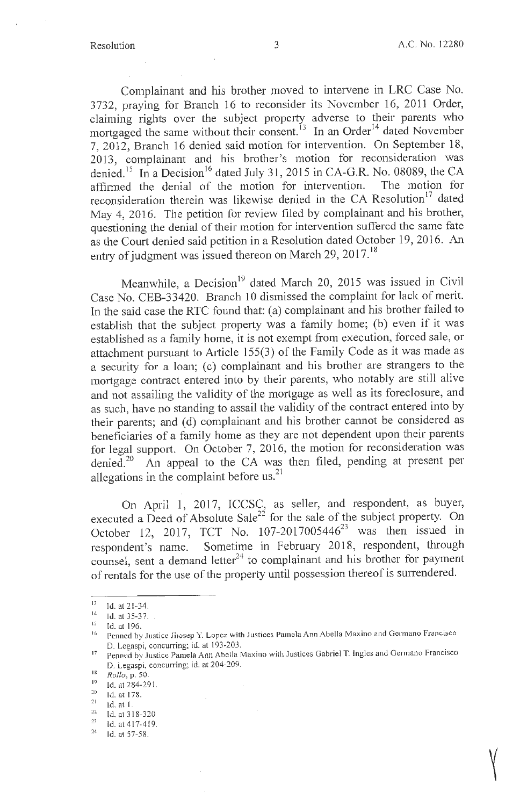Complainant and his brother moved to intervene in LRC Case No. 3 732, praying for Branch 16 to reconsider its November 16, 2011 Order, claiming rights over the subject property adverse to their parents who mortgaged the same without their consent.<sup>13</sup> In an Order<sup>14</sup> dated November 7, 2012, Branch 16 denied said motion for intervention. On September 18, 2013, complainant and his brother's motion for reconsideration was denied.<sup>15</sup> In a Decision<sup>16</sup> dated July 31, 2015 in CA-G.R. No. 08089, the CA affirmed the denial of the motion for intervention. The motion for reconsideration therein was likewise denied in the CA Resolution<sup>17</sup> dated May 4, 2016. The petition for review filed by complainant and his brother, questioning the denial of their motion for intervention suffered the same fate as the Court denied said petition in a Resolution dated October 19, 2016. An entry of judgment was issued thereon on March 29, 2017.<sup>18</sup>

Meanwhile, a Decision<sup>19</sup> dated March 20, 2015 was issued in Civil Case No. CEB-33420. Branch 10 dismissed the complaint for lack of merit. In the said case the RTC found that: (a) complainant and his brother failed to establish that the subject property was a family home; (b) even if it was established as a family home, it is not exempt from execution, forced sale, or attachment pursuant to Article 155(3) of the Family Code as it was made as a security for a loan; (c) complainant and his brother are strangers to the mortgage contract entered into by their parents, who notably are still alive and not assailing the validity of the mortgage as well as its foreclosure, and as such, have no standing to assail the validity of the contract entered into by their parents; and (d) complainant and his brother cannot be considered as beneficiaries of a family home as they are not dependent upon their parents for legal support. On October 7, 2016, the motion for reconsideration was denied.20 An appeal to the CA was then filed, pending at present per allegations in the complaint before us.<sup>21</sup>

On April 1, 2017, ICCSC, as seller, and respondent, as buyer, executed a Deed of Absolute Sale<sup>22</sup> for the sale of the subject property. On October 12, 2017, TCT No.  $107-2017005446^{23}$  was then issued in respondent's name. Sometime in February 2018, respondent, through counsel, sent a demand letter<sup>24</sup> to complainant and his brother for payment of rentals for the use of the property until possession thereof is surrendered.

 $14$  Id. at 21-34.<br>  $14$  Id. at 35-37.

 $^{15}$  Id. at 196.

Penned by Justice Jirosep Y. Lopez with Justices Pamela Ann Abella Maxino and Germano Francisco

D. Legaspi, concurring; id. at 193-203. 17 Penned by Justice Pamela Ann Abella Maxino with Justices Gabriel T. Ingles and Germano Francisco D. Legaspi, concurring; id. at 204-209.

<sup>18</sup>*Rollo,* p. 50.

<sup>&</sup>lt;sup>19</sup> Id. at 284-291.<br>
<sup>20</sup> Id. at 178.

 $\begin{bmatrix} 21 & 1d & 31 & 320 \\ 22 & 1d & 31 & 320 \\ 23 & 1d & 3d & 3d & 3d \end{bmatrix}$ 

<sup>23</sup> ld.at417-419. 24 **Id. at 57-58.**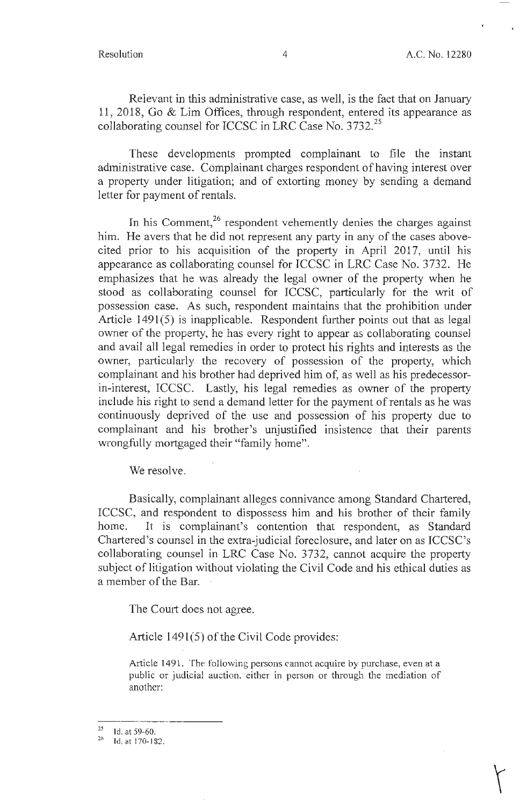Relevant in this administrative case, as well, is the fact that on January 11, 2018, Go & Lim Offices, through respondent, entered its appearance as collaborating counsel for ICCSC in LRC Case No.  $3732.<sup>25</sup>$ 

These developments prompted complainant to file the instant administrative case. Complainant charges respondent of having interest over a property under litigation; and of extorting money by sending a demand letter for payment of rentals.

In his Comment,<sup>26</sup> respondent vehemently denies the charges against him. He avers that he did not represent any party in any of the cases abovecited prior to his acquisition of the property in April 2017, until his appearance as collaborating counsel for ICCSC in LRC Case No. 3732. He emphasizes that he was already the legal owner of the property when he stood as collaborating counsel for ICCSC, particularly for the writ of possession case. As such, respondent maintains that the prohibition under Article  $1491(5)$  is inapplicable. Respondent further points out that as legal owner of the property, he has every right to appear as collaborating counsel and avail all legal remedies in order to protect his rights and interests as the owner, particularly the recovery of possession of the property, which complainant and his brother had deprived him of, as well as his predecessorin-interest, ICCSC. Lastly, his legal remedies as owner of the property include his right to send a demand letter for the payment of rentals as he was continuously deprived of the use and possession of his property due to complainant and his brother's unjustified insistence that their parents wrongfully mortgaged their "family home".

We resolve.

Basically, complainant alleges connivance among Standard Chartered, ICCSC, and respondent to dispossess him and his brother of their family home. It is complainant's contention that respondent, as Standard Chartered's counsel in the extra-judicial foreclosure, and later on as ICCSC's collaborating counsel in LRC Case No. 3732, cannot acquire the property subject of litigation without violating the Civil Code and his ethical duties as a member of the Bar.

The Court does not agree.

Article  $1491(5)$  of the Civil Code provides:

Article 1491. The following persons cannot acquire by purchase, even at a public or judicial auction, either in person or through the mediation of another:

<sup>2</sup>  $\frac{25}{10}$  ld. at 59-60.

<sup>26</sup>Id. at 170-182.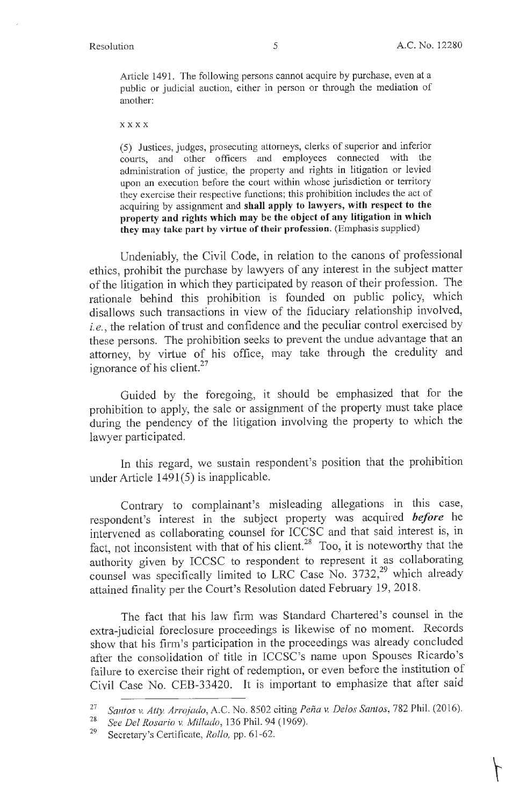Article 1491. The following persons cannot acquire by purchase, even at a public or judicial auction, either in person or through the mediation of another:

**xxxx** 

(5) Justices, judges, prosecuting attorneys, clerks of superior and inferior courts, and other officers and employees connected with the administration of justice, the property and rights in litigation or levied upon an execution before the court within whose jurisdiction or territory they exercise their respective functions; this prohibition includes the act of acquiring by assignment and **shall apply to lawyers, with respect to the property and rights which may be the object of any litigation in which they may take part by virtue of their profession.** (Emphasis supplied)

Undeniably, the Civil Code, in relation to the canons of professional ethics, prohibit the purchase by lawyers of any interest in the subject matter of the litigation in which they participated by reason of their profession. The rationale behind this prohibition is founded on public policy, which disallows such transactions in view of the fiduciary relationship involved, *i.e.,* the relation of trust and confidence and the peculiar control exercised by these persons. The prohibition seeks to prevent the undue advantage that an attorney, by virtue of his office, may take through the credulity and ignorance of his client. $^{27}$ 

Guided by the foregoing, it should be emphasized that for the prohibition to apply, the sale or assigmnent of the property must take place during the pendency of the litigation involving the property to which the lawyer participated.

In this regard, we sustain respondent's position that the prohibition under Article  $1491(5)$  is inapplicable.

Contrary to complainant's misleading allegations in this case, respondent's interest in the subject property was acquired *before* he intervened as collaborating counsel for ICCSC and that said interest is, in fact, not inconsistent with that of his client.<sup>28</sup> Too, it is noteworthy that the authority given by ICCSC to respondent to represent it as collaborating counsel was specifically limited to LRC Case No.  $3732$ ,<sup>29</sup> which already attained finality per the Court's Resolution dated February 19, 2018.

The fact that his law firm was Standard Chartered's counsel in the extra-judicial foreclosure proceedings is likewise of no moment. Records show that his firm's participation in the proceedings was already concluded after the consolidation of title in ICCSC's name upon Spouses Ricardo's failure to exercise their right of redemption, or even before the institution of Civil Case No. CEB-33420. It is important to emphasize that after said

<sup>27</sup>*Santos v. Atty Arrojado,* A.C. No. 8502 citing *Pena v. Delos Santos,* 782 Phil. (2016).

<sup>28</sup>*See Del Rosario* v. *Millado,* 136 Phil. 94 (1969).

<sup>29</sup> Secretary's Certificate, *Rollo,* pp. 61-62.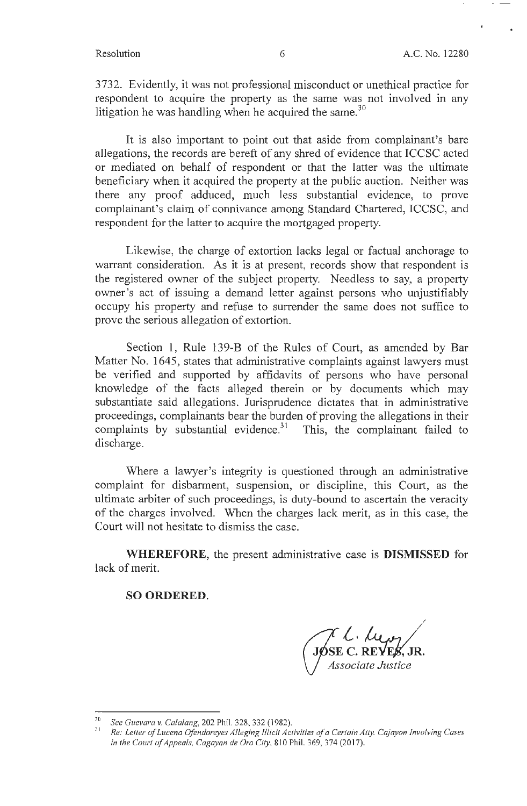3732. Evidently, it was not professional misconduct or unethical practice for respondent to acquire the property as the same was not involved in any litigation he was handling when he acquired the same.<sup>30</sup>

It is also important to point out that aside from complainant's bare allegations, the records are bereft of any shred of evidence that ICCSC acted or mediated on behalf of respondent or that the latter was the ultimate beneficiary when it acquired the property at the public auction. Neither was there any proof adduced, much less substantial evidence, to prove complainant's claim of connivance among Standard Chartered, ICCSC, and respondent for the latter to acquire the mortgaged property.

Likewise, the charge of extortion lacks legal or factual anchorage to warrant consideration. As it is at present, records show that respondent is the registered owner of the subject property. Needless to say, a property owner's act of issuing a demand letter against persons who unjustifiably occupy his property and refuse to surrender the same does not suffice to prove the serious allegation of extortion.

Section 1, Rule 139-B of the Rules of Court, as amended by Bar Matter No. 1645, states that administrative complaints against lawyers must be verified and supported by affidavits of persons who have personal knowledge of the facts alleged therein or by documents which may substantiate said allegations. Jurisprudence dictates that in administrative proceedings, complainants bear the burden of proving the allegations in their complaints by substantial evidence. $31$  This, the complainant failed to discharge.

Where a lawyer's integrity is questioned through an administrative complaint for disbarment, suspension, or discipline, this Court, as the ultimate arbiter of such proceedings, is duty-bound to ascertain the veracity of the charges involved. When the charges lack merit, as in this case, the Court will not hesitate to dismiss the case.

**WHEREFORE,** the present administrative case is **DISMISSED** for lack of merit.

#### **SO ORDERED.**

JØSE C. REVES, JR.

<sup>&</sup>lt;sup>30</sup> See Guevara v. Calalang, 202 Phil. 328, 332 (1982).<br><sup>31</sup> Re: Letter of Lucena Ofendoreyes Alleging Illicit Activities of a Certain Atty. Cajayon Involving Cases *in the Court of Appeals, Cagayan de Oro City,* 8 10 Phil. 369, 374(2017).